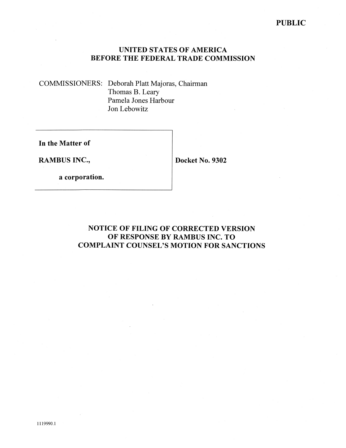### **PUBLIC**

### **UNITED STATES OF AMERICA BEFORE THE FEDERAL TRADE COMMISSION**

COMMISSIONERS: Deborah Platt Majoras, Chairman Thomas B. Leary Pamela Jones Harbour Jon Lebowitz

**In the Matter of** 

**RAMBUS INC.,** 

**Docket No. 9302** 

**a corporation.** 

# **NOTICE OF FILING OF CORRECTED VERSION OF RESPONSE BY RAMBUS INC. TO COMPLAINT COUNSEL'S MOTION FOR SANCTIONS**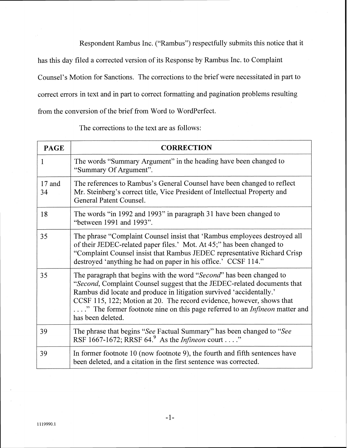Respondent Rambus Inc. ("Rambus") respectfully submits this notice that it

has this day filed a corrected version of its Response by Rambus Inc. to Complaint

Counsel's Motion for Sanctions. The corrections to the brief were necessitated in part to

correct errors in text and in part to correct formatting and pagination problems resulting

from the conversion of the brief from Word to WordPerfect.

**PAGE CORRECTION** The words "Summary Argument" in the heading have been changed to  $\mathbf{1}$ "Summary Of Argument". 17 and The references to Rambus's General Counsel have been changed to reflect Mr. Steinberg's correct title, Vice President of Intellectual Property and  $34$ General Patent Counsel. The words "in 1992 and 1993" in paragraph 31 have been changed to 18 "between 1991 and 1993". The phrase "Complaint Counsel insist that 'Rambus employees destroyed all 35 of their JEDEC-related paper files.' Mot. At 45;" has been changed to "Complaint Counsel insist that Rambus JEDEC representative Richard Crisp destroyed 'anything he had on paper in his office.' CCSF 114." 35 The paragraph that begins with the word "Second" has been changed to "Second, Complaint Counsel suggest that the JEDEC-related documents that Rambus did locate and produce in litigation survived 'accidentally.' CCSF 115, 122; Motion at 20. The record evidence, however, shows that ...." The former footnote nine on this page referred to an *Infineon* matter and has been deleted. 39 The phrase that begins "See Factual Summary" has been changed to "See RSF 1667-1672; RRSF 64.<sup>9</sup> As the *Infineon* court . . . ." 39 In former footnote 10 (now footnote 9), the fourth and fifth sentences have been deleted, and a citation in the first sentence was corrected.

The corrections to the text are as follows: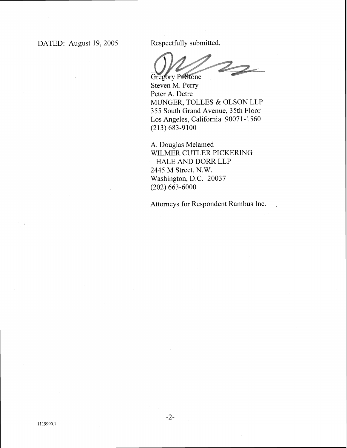$\mathbb{Z}$ 

Gregory P. Stone Steven M. Perry Peter A. Detre MUNGER, TOLLES & OLSON LLP 355 South Grand Avenue, 3 5th Floor Los Angeles, California 90071-1560 (213) 683-9100

A. Douglas Melamed WILMER CUTLER PICKERING HALE AND DORR LLP 2445 M Street, N.W. Washington, D.C. 20037 (202) 663-6000

Attorneys for Respondent Rambus Inc.